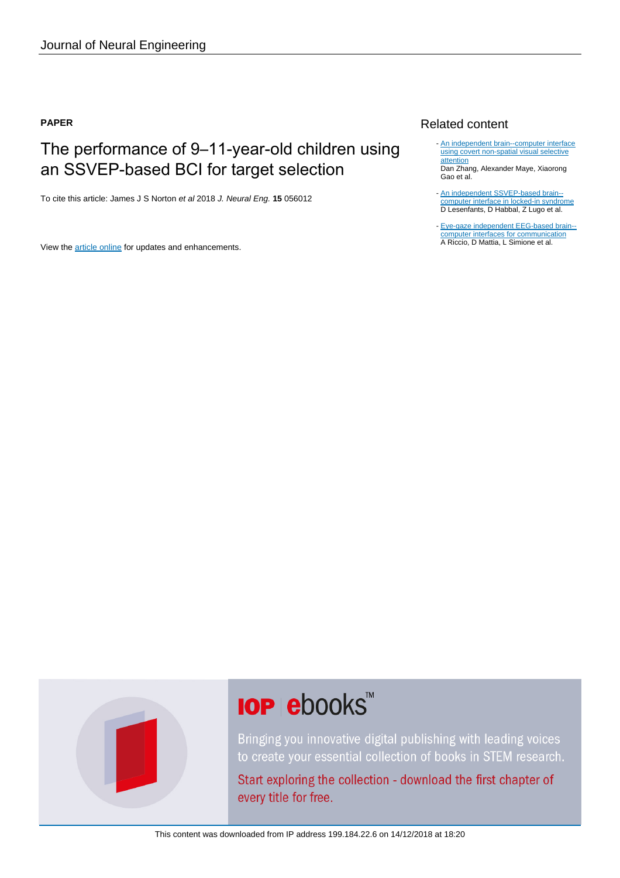# **PAPER**

# The performance of 9–11-year-old children using an SSVEP-based BCI for target selection

To cite this article: James J S Norton et al 2018 J. Neural Eng. **15** 056012

View the [article online](https://doi.org/10.1088/1741-2552/aacfdd) for updates and enhancements.

# Related content

- [An independent brain--computer interface](http://iopscience.iop.org/article/10.1088/1741-2560/7/1/016010) [using covert non-spatial visual selective](http://iopscience.iop.org/article/10.1088/1741-2560/7/1/016010) **[attention](http://iopscience.iop.org/article/10.1088/1741-2560/7/1/016010)** Dan Zhang, Alexander Maye, Xiaorong
- Gao et al.
- [An independent SSVEP-based brain-](http://iopscience.iop.org/article/10.1088/1741-2560/11/3/035002) [computer interface in locked-in syndrome](http://iopscience.iop.org/article/10.1088/1741-2560/11/3/035002) D Lesenfants, D Habbal, Z Lugo et al.
- [Eye-gaze independent EEG-based brain-](http://iopscience.iop.org/article/10.1088/1741-2560/9/4/045001) [computer interfaces for communication](http://iopscience.iop.org/article/10.1088/1741-2560/9/4/045001) A Riccio, D Mattia, L Simione et al.



# **IOP ebooks**™

Bringing you innovative digital publishing with leading voices to create your essential collection of books in STEM research.

Start exploring the collection - download the first chapter of every title for free.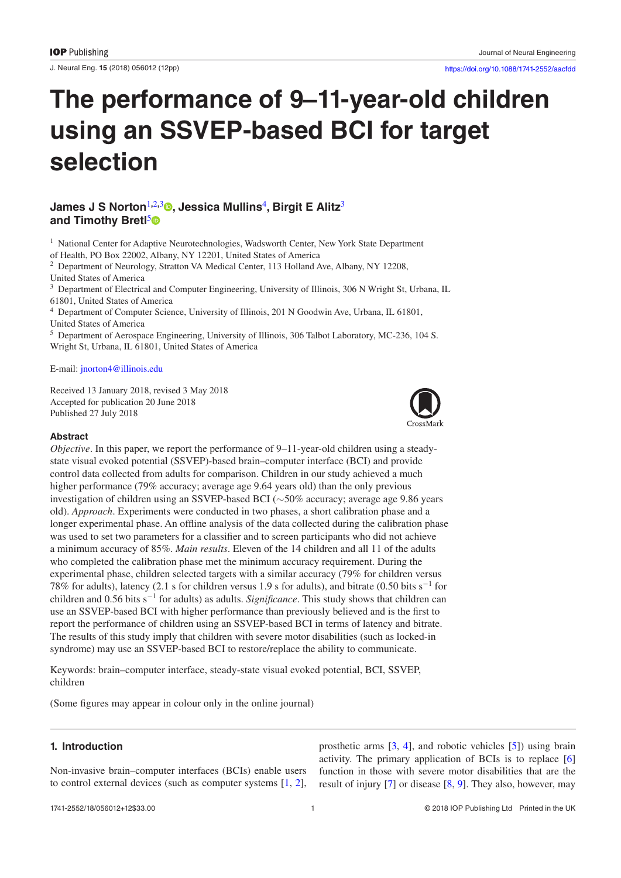J. Neural Eng. **15** (2018) 056012 [\(12p](#page-12-2)p) <https://doi.org/10.1088/1741-2552/aacfdd>

# **The performance of 9–11-year-old children using an SSVEP-based BCI for target selection**

# **James J S Norton**[1](#page-1-0)**,**[2](#page-1-1)**,**[3](#page-1-2) **, Jessica Mullins**[4](#page-1-3)**, Birgit E Alitz**[3](#page-1-2) and Timothy Bretl<sup>[5](#page-1-4)</sup><sup>®</sup>

<span id="page-1-0"></span> $1$  National Center for Adaptive Neurotechnologies, Wadsworth Center, New York State Department of Health, PO Box 22002, Albany, NY 12201, United States of America

<span id="page-1-1"></span><sup>2</sup> Department of Neurology, Stratton VA Medical Center, 113 Holland Ave, Albany, NY 12208, United States of America

<span id="page-1-2"></span><sup>3</sup> Department of Electrical and Computer Engineering, University of Illinois, 306 N Wright St, Urbana, IL 61801, United States of America

<span id="page-1-3"></span><sup>4</sup> Department of Computer Science, University of Illinois, 201 N Goodwin Ave, Urbana, IL 61801, United States of America

<span id="page-1-4"></span><sup>5</sup> Department of Aerospace Engineering, University of Illinois, 306 Talbot Laboratory, MC-236, 104 S. Wright St, Urbana, IL 61801, United States of America

E-mail: [jnorton4@illinois.edu](mailto:jnorton4@illinois.edu)

Received 13 January 2018, revised 3 May 2018 Accepted for publication 20 June 2018 Published 27 July 2018



### **Abstract**

*Objective*. In this paper, we report the performance of 9–11-year-old children using a steadystate visual evoked potential (SSVEP)-based brain–computer interface (BCI) and provide control data collected from adults for comparison. Children in our study achieved a much higher performance (79% accuracy; average age 9.64 years old) than the only previous investigation of children using an SSVEP-based BCI (∼50% accuracy; average age 9.86 years old). *Approach*. Experiments were conducted in two phases, a short calibration phase and a longer experimental phase. An offline analysis of the data collected during the calibration phase was used to set two parameters for a classifier and to screen participants who did not achieve a minimum accuracy of 85%. *Main results*. Eleven of the 14 children and all 11 of the adults who completed the calibration phase met the minimum accuracy requirement. During the experimental phase, children selected targets with a similar accuracy (79% for children versus 78% for adults), latency (2.1 s for children versus 1.9 s for adults), and bitrate (0.50 bits s<sup>−</sup><sup>1</sup> for children and 0.56 bits s<sup>−</sup><sup>1</sup> for adults) as adults. *Significance*. This study shows that children can use an SSVEP-based BCI with higher performance than previously believed and is the first to report the performance of children using an SSVEP-based BCI in terms of latency and bitrate. The results of this study imply that children with severe motor disabilities (such as locked-in syndrome) may use an SSVEP-based BCI to restore/replace the ability to communicate.

Keywords: brain–computer interface, steady-state visual evoked potential, BCI, SSVEP, children

(Some figures may appear in colour only in the online journal)

# **1. Introduction**

Non-invasive brain–computer interfaces (BCIs) enable users to control external devices (such as computer systems [[1,](#page-11-0) [2](#page-11-1)], prosthetic arms [[3,](#page-11-2) [4\]](#page-11-3), and robotic vehicles [[5\]](#page-11-4)) using brain activity. The primary application of BCIs is to replace [[6\]](#page-11-5) function in those with severe motor disabilities that are the result of injury [[7\]](#page-11-6) or disease [[8,](#page-12-0) [9\]](#page-12-1). They also, however, may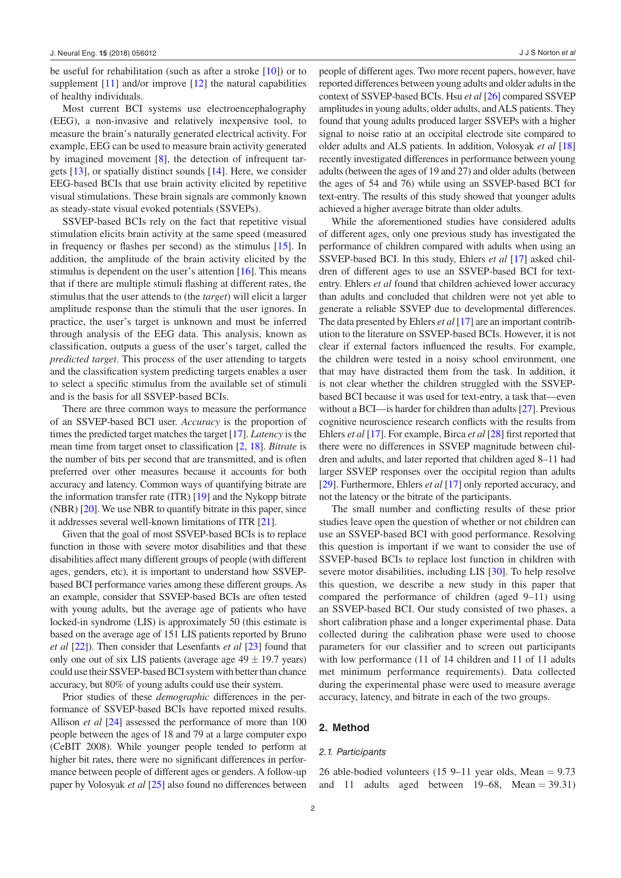be useful for rehabilitation (such as after a stroke [\[10](#page-12-3)]) or to supplement [[11\]](#page-12-4) and/or improve [[12\]](#page-12-5) the natural capabilities of healthy individuals.

Most current BCI systems use electroencephalography (EEG), a non-invasive and relatively inexpensive tool, to measure the brain's naturally generated electrical activity. For example, EEG can be used to measure brain activity generated by imagined movement [[8\]](#page-12-0), the detection of infrequent targets [\[13](#page-12-6)], or spatially distinct sounds [\[14](#page-12-7)]. Here, we consider EEG-based BCIs that use brain activity elicited by repetitive visual stimulations. These brain signals are commonly known as steady-state visual evoked potentials (SSVEPs).

SSVEP-based BCIs rely on the fact that repetitive visual stimulation elicits brain activity at the same speed (measured in frequency or flashes per second) as the stimulus [\[15](#page-12-8)]. In addition, the amplitude of the brain activity elicited by the stimulus is dependent on the user's attention [\[16](#page-12-9)]. This means that if there are multiple stimuli flashing at different rates, the stimulus that the user attends to (the *target*) will elicit a larger amplitude response than the stimuli that the user ignores. In practice, the user's target is unknown and must be inferred through analysis of the EEG data. This analysis, known as classification, outputs a guess of the user's target, called the *predicted target*. This process of the user attending to targets and the classification system predicting targets enables a user to select a specific stimulus from the available set of stimuli and is the basis for all SSVEP-based BCIs.

There are three common ways to measure the performance of an SSVEP-based BCI user. *Accuracy* is the proportion of times the predicted target matches the target [\[17\]](#page-12-10). *Latency* is the mean time from target onset to classification [\[2](#page-11-1), [18](#page-12-11)]. *Bitrate* is the number of bits per second that are transmitted, and is often preferred over other measures because it accounts for both accuracy and latency. Common ways of quantifying bitrate are the information transfer rate (ITR) [\[19](#page-12-12)] and the Nykopp bitrate (NBR) [\[20\]](#page-12-13). We use NBR to quantify bitrate in this paper, since it addresses several well-known limitations of ITR [\[21\]](#page-12-14).

Given that the goal of most SSVEP-based BCIs is to replace function in those with severe motor disabilities and that these disabilities affect many different groups of people (with different ages, genders, etc), it is important to understand how SSVEPbased BCI performance varies among these different groups. As an example, consider that SSVEP-based BCIs are often tested with young adults, but the average age of patients who have locked-in syndrome (LIS) is approximately 50 (this estimate is based on the average age of 151 LIS patients reported by Bruno *et al* [[22](#page-12-15)]). Then consider that Lesenfants *et al* [\[23\]](#page-12-16) found that only one out of six LIS patients (average age  $49 \pm 19.7$  years) could use their SSVEP-based BCI system with better than chance accuracy, but 80% of young adults could use their system.

Prior studies of these *demographic* differences in the performance of SSVEP-based BCIs have reported mixed results. Allison *et al* [\[24](#page-12-17)] assessed the performance of more than 100 people between the ages of 18 and 79 at a large computer expo (CeBIT 2008). While younger people tended to perform at higher bit rates, there were no significant differences in performance between people of different ages or genders. A follow-up paper by Volosyak *et al* [\[25\]](#page-12-18) also found no differences between people of different ages. Two more recent papers, however, have reported differences between young adults and older adults in the context of SSVEP-based BCIs. Hsu *et al* [\[26\]](#page-12-19) compared SSVEP amplitudes in young adults, older adults, and ALS patients. They found that young adults produced larger SSVEPs with a higher signal to noise ratio at an occipital electrode site compared to older adults and ALS patients. In addition, Volosyak *et al* [\[18\]](#page-12-11) recently investigated differences in performance between young adults (between the ages of 19 and 27) and older adults (between the ages of 54 and 76) while using an SSVEP-based BCI for text-entry. The results of this study showed that younger adults achieved a higher average bitrate than older adults.

While the aforementioned studies have considered adults of different ages, only one previous study has investigated the performance of children compared with adults when using an SSVEP-based BCI. In this study, Ehlers *et al* [[17](#page-12-10)] asked children of different ages to use an SSVEP-based BCI for textentry. Ehlers *et al* found that children achieved lower accuracy than adults and concluded that children were not yet able to generate a reliable SSVEP due to developmental differences. The data presented by Ehlers *et al* [\[17\]](#page-12-10) are an important contribution to the literature on SSVEP-based BCIs. However, it is not clear if external factors influenced the results. For example, the children were tested in a noisy school environment, one that may have distracted them from the task. In addition, it is not clear whether the children struggled with the SSVEPbased BCI because it was used for text-entry, a task that—even without a BCI—is harder for children than adults [[27](#page-12-20)]. Previous cognitive neuroscience research conflicts with the results from Ehlers *et al* [[17\]](#page-12-10). For example, Birca *et al* [\[28](#page-12-21)] first reported that there were no differences in SSVEP magnitude between children and adults, and later reported that children aged 8–11 had larger SSVEP responses over the occipital region than adults [\[29](#page-12-22)]. Furthermore, Ehlers *et al* [[17\]](#page-12-10) only reported accuracy, and not the latency or the bitrate of the participants.

The small number and conflicting results of these prior studies leave open the question of whether or not children can use an SSVEP-based BCI with good performance. Resolving this question is important if we want to consider the use of SSVEP-based BCIs to replace lost function in children with severe motor disabilities, including LIS [\[30](#page-12-23)]. To help resolve this question, we describe a new study in this paper that compared the performance of children (aged 9–11) using an SSVEP-based BCI. Our study consisted of two phases, a short calibration phase and a longer experimental phase. Data collected during the calibration phase were used to choose parameters for our classifier and to screen out participants with low performance (11 of 14 children and 11 of 11 adults met minimum performance requirements). Data collected during the experimental phase were used to measure average accuracy, latency, and bitrate in each of the two groups.

#### **2. Method**

#### *2.1. Participants*

26 able-bodied volunteers (15 9–11 year olds, Mean  $= 9.73$ and 11 adults aged between  $19-68$ , Mean = 39.31)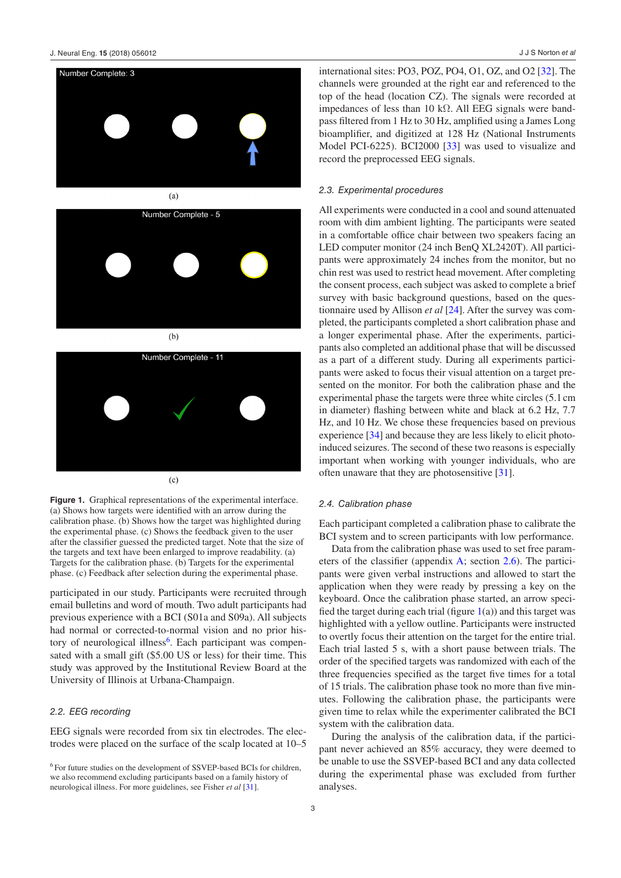<span id="page-3-1"></span>



 $(c)$ 

**Figure 1.** Graphical representations of the experimental interface. (a) Shows how targets were identified with an arrow during the calibration phase. (b) Shows how the target was highlighted during the experimental phase. (c) Shows the feedback given to the user after the classifier guessed the predicted target. Note that the size of the targets and text have been enlarged to improve readability. (a) Targets for the calibration phase. (b) Targets for the experimental phase. (c) Feedback after selection during the experimental phase.

participated in our study. Participants were recruited through email bulletins and word of mouth. Two adult participants had previous experience with a BCI (S01a and S09a). All subjects had normal or corrected-to-normal vision and no prior history of neurological illness<sup>6</sup>. Each participant was compensated with a small gift (\$5.00 US or less) for their time. This study was approved by the Institutional Review Board at the University of Illinois at Urbana-Champaign.

#### *2.2. EEG recording*

EEG signals were recorded from six tin electrodes. The electrodes were placed on the surface of the scalp located at 10–5 international sites: PO3, POZ, PO4, O1, OZ, and O2 [[32\]](#page-12-24). The channels were grounded at the right ear and referenced to the top of the head (location CZ). The signals were recorded at impedances of less than 10 kΩ. All EEG signals were bandpass filtered from 1 Hz to 30 Hz, amplified using a James Long bioamplifier, and digitized at 128 Hz (National Instruments Model PCI-6225). BCI2000 [\[33](#page-12-25)] was used to visualize and record the preprocessed EEG signals.

#### *2.3. Experimental procedures*

All experiments were conducted in a cool and sound attenuated room with dim ambient lighting. The participants were seated in a comfortable office chair between two speakers facing an LED computer monitor (24 inch BenQ XL2420T). All participants were approximately 24 inches from the monitor, but no chin rest was used to restrict head movement. After completing the consent process, each subject was asked to complete a brief survey with basic background questions, based on the questionnaire used by Allison *et al* [\[24](#page-12-17)]. After the survey was completed, the participants completed a short calibration phase and a longer experimental phase. After the experiments, participants also completed an additional phase that will be discussed as a part of a different study. During all experiments participants were asked to focus their visual attention on a target presented on the monitor. For both the calibration phase and the experimental phase the targets were three white circles (5.1cm in diameter) flashing between white and black at 6.2 Hz, 7.7 Hz, and 10 Hz. We chose these frequencies based on previous experience [\[34](#page-12-26)] and because they are less likely to elicit photoinduced seizures. The second of these two reasons is especially important when working with younger individuals, who are often unaware that they are photosensitive [\[31\]](#page-12-27).

#### <span id="page-3-2"></span>*2.4. Calibration phase*

Each participant completed a calibration phase to calibrate the BCI system and to screen participants with low performance.

Data from the calibration phase was used to set free parameters of the classifier (appendix [A;](#page-10-0) section [2.6](#page-4-0)). The participants were given verbal instructions and allowed to start the application when they were ready by pressing a key on the keyboard. Once the calibration phase started, an arrow specified the target during each trial (figure  $1(a)$ ) and this target was highlighted with a yellow outline. Participants were instructed to overtly focus their attention on the target for the entire trial. Each trial lasted 5 s, with a short pause between trials. The order of the specified targets was randomized with each of the three frequencies specified as the target five times for a total of 15 trials. The calibration phase took no more than five minutes. Following the calibration phase, the participants were given time to relax while the experimenter calibrated the BCI system with the calibration data.

During the analysis of the calibration data, if the participant never achieved an 85% accuracy, they were deemed to be unable to use the SSVEP-based BCI and any data collected during the experimental phase was excluded from further analyses.

<span id="page-3-0"></span><sup>6</sup> For future studies on the development of SSVEP-based BCIs for children, we also recommend excluding participants based on a family history of neurological illness. For more guidelines, see Fisher *et al* [[31\]](#page-12-27).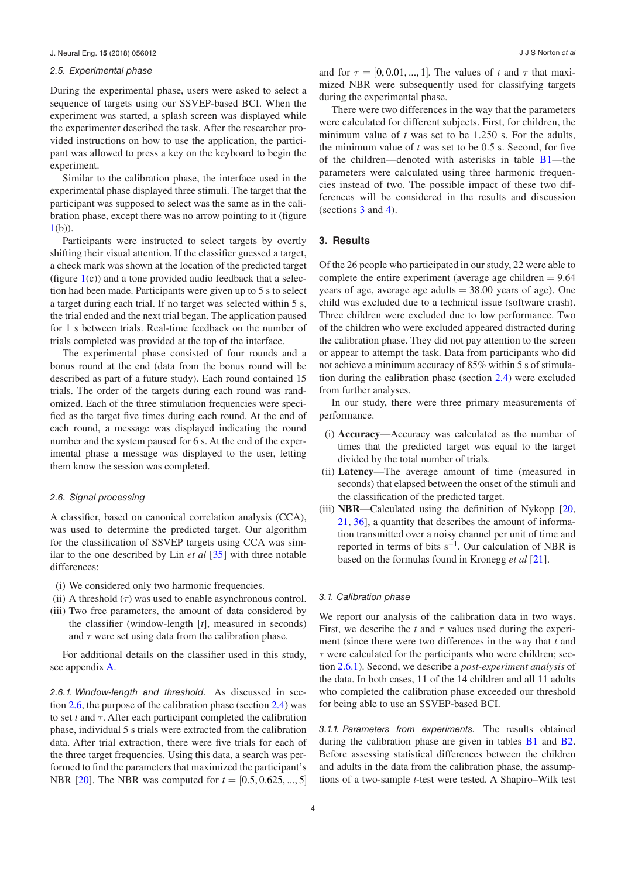#### *2.5. Experimental phase*

During the experimental phase, users were asked to select a sequence of targets using our SSVEP-based BCI. When the experiment was started, a splash screen was displayed while the experimenter described the task. After the researcher provided instructions on how to use the application, the participant was allowed to press a key on the keyboard to begin the experiment.

Similar to the calibration phase, the interface used in the experimental phase displayed three stimuli. The target that the participant was supposed to select was the same as in the calibration phase, except there was no arrow pointing to it (figure [1](#page-3-1)(b)).

Participants were instructed to select targets by overtly shifting their visual attention. If the classifier guessed a target, a check mark was shown at the location of the predicted target (figure  $1(c)$ ) and a tone provided audio feedback that a selection had been made. Participants were given up to 5 s to select a target during each trial. If no target was selected within 5 s, the trial ended and the next trial began. The application paused for 1 s between trials. Real-time feedback on the number of trials completed was provided at the top of the interface.

The experimental phase consisted of four rounds and a bonus round at the end (data from the bonus round will be described as part of a future study). Each round contained 15 trials. The order of the targets during each round was randomized. Each of the three stimulation frequencies were specified as the target five times during each round. At the end of each round, a message was displayed indicating the round number and the system paused for 6 s. At the end of the experimental phase a message was displayed to the user, letting them know the session was completed.

#### <span id="page-4-0"></span>*2.6. Signal processing*

A classifier, based on canonical correlation analysis (CCA), was used to determine the predicted target. Our algorithm for the classification of SSVEP targets using CCA was similar to the one described by Lin *et al* [\[35](#page-12-28)] with three notable differences:

- (i) We considered only two harmonic frequencies.
- (ii) A threshold  $(\tau)$  was used to enable asynchronous control.
- (iii) Two free parameters, the amount of data considered by the classifier (window-length [*t*], measured in seconds) and  $\tau$  were set using data from the calibration phase.

For additional details on the classifier used in this study, see appendix [A](#page-10-0).

<span id="page-4-2"></span>*2.6.1. Window-length and threshold.* As discussed in section [2.6](#page-4-0), the purpose of the calibration phase (section [2.4\)](#page-3-2) was to set *t* and *τ*. After each participant completed the calibration phase, individual 5 s trials were extracted from the calibration data. After trial extraction, there were five trials for each of the three target frequencies. Using this data, a search was performed to find the parameters that maximized the participant's NBR [\[20](#page-12-13)]. The NBR was computed for *t* = [0.5, 0.625, ..., 5] and for  $\tau = [0, 0.01, ..., 1]$ . The values of t and  $\tau$  that maximized NBR were subsequently used for classifying targets during the experimental phase.

There were two differences in the way that the parameters were calculated for different subjects. First, for children, the minimum value of *t* was set to be 1.250 s. For the adults, the minimum value of *t* was set to be 0.5 s. Second, for five of the children—denoted with asterisks in table  $B1$ —the parameters were calculated using three harmonic frequencies instead of two. The possible impact of these two differences will be considered in the results and discussion (sections [3](#page-4-1) and [4](#page-7-0)).

#### <span id="page-4-1"></span>**3. Results**

Of the 26 people who participated in our study, 22 were able to complete the entire experiment (average age children  $= 9.64$ ) years of age, average age adults  $= 38.00$  years of age). One child was excluded due to a technical issue (software crash). Three children were excluded due to low performance. Two of the children who were excluded appeared distracted during the calibration phase. They did not pay attention to the screen or appear to attempt the task. Data from participants who did not achieve a minimum accuracy of 85% within 5 s of stimulation during the calibration phase (section [2.4](#page-3-2)) were excluded from further analyses.

In our study, there were three primary measurements of performance.

- (i) **Accuracy**—Accuracy was calculated as the number of times that the predicted target was equal to the target divided by the total number of trials.
- (ii) **Latency**—The average amount of time (measured in seconds) that elapsed between the onset of the stimuli and the classification of the predicted target.
- (iii) **NBR**—Calculated using the definition of Nykopp [[20,](#page-12-13) [21](#page-12-14), [36](#page-12-29)], a quantity that describes the amount of information transmitted over a noisy channel per unit of time and reported in terms of bits  $s^{-1}$ . Our calculation of NBR is based on the formulas found in Kronegg *et al* [\[21](#page-12-14)].

#### *3.1. Calibration phase*

We report our analysis of the calibration data in two ways. First, we describe the *t* and  $\tau$  values used during the experiment (since there were two differences in the way that *t* and *τ* were calculated for the participants who were children; section [2.6.1\)](#page-4-2). Second, we describe a *post-experiment analysis* of the data. In both cases, 11 of the 14 children and all 11 adults who completed the calibration phase exceeded our threshold for being able to use an SSVEP-based BCI.

*3.1.1. Parameters from experiments.* The results obtained during the calibration phase are given in tables [B1](#page-11-7) and [B2.](#page-11-8) Before assessing statistical differences between the children and adults in the data from the calibration phase, the assumptions of a two-sample *t*-test were tested. A Shapiro–Wilk test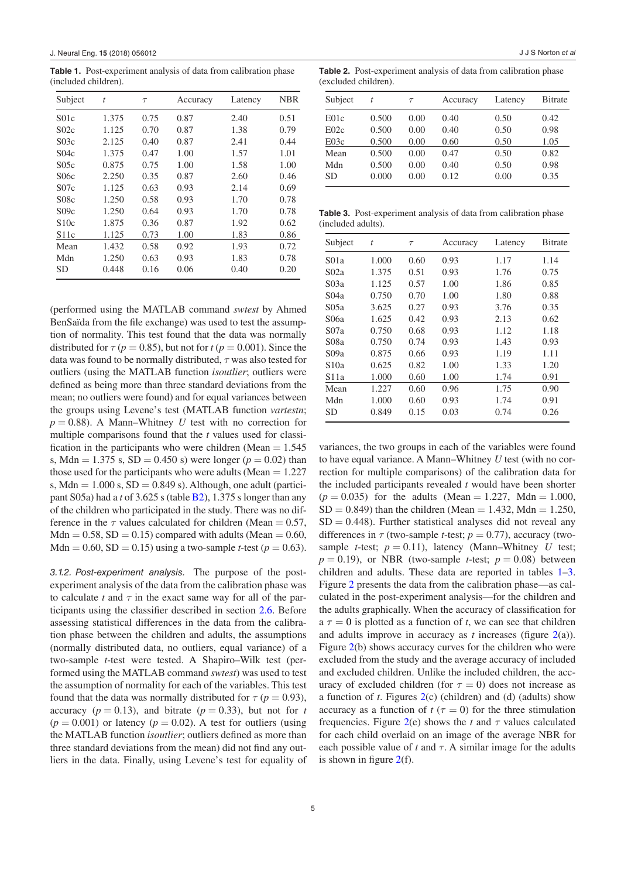<span id="page-5-0"></span>**Table 1.** Post-experiment analysis of data from calibration phase (included children).

| Subject          | t     | $\tau$ | Accuracy | Latency | <b>NBR</b> |
|------------------|-------|--------|----------|---------|------------|
| S <sub>01c</sub> | 1.375 | 0.75   | 0.87     | 2.40    | 0.51       |
| S02c             | 1.125 | 0.70   | 0.87     | 1.38    | 0.79       |
| S03c             | 2.125 | 0.40   | 0.87     | 2.41    | 0.44       |
| S04c             | 1.375 | 0.47   | 1.00     | 1.57    | 1.01       |
| S05c             | 0.875 | 0.75   | 1.00     | 1.58    | 1.00       |
| S06c             | 2.250 | 0.35   | 0.87     | 2.60    | 0.46       |
| S07c             | 1.125 | 0.63   | 0.93     | 2.14    | 0.69       |
| S08c             | 1.250 | 0.58   | 0.93     | 1.70    | 0.78       |
| S09c             | 1.250 | 0.64   | 0.93     | 1.70    | 0.78       |
| \$10c            | 1.875 | 0.36   | 0.87     | 1.92    | 0.62       |
| S11c             | 1.125 | 0.73   | 1.00     | 1.83    | 0.86       |
| Mean             | 1.432 | 0.58   | 0.92     | 1.93    | 0.72       |
| Mdn              | 1.250 | 0.63   | 0.93     | 1.83    | 0.78       |
| SD               | 0.448 | 0.16   | 0.06     | 0.40    | 0.20       |

(performed using the MATLAB command *swtest* by Ahmed BenSaïda from the file exchange) was used to test the assumption of normality. This test found that the data was normally distributed for  $\tau$  ( $p = 0.85$ ), but not for  $t$  ( $p = 0.001$ ). Since the data was found to be normally distributed, *τ* was also tested for outliers (using the MATLAB function *isoutlier*; outliers were defined as being more than three standard deviations from the mean; no outliers were found) and for equal variances between the groups using Levene's test (MATLAB function *vartestn*;  $p = 0.88$ ). A Mann–Whitney *U* test with no correction for multiple comparisons found that the *t* values used for classification in the participants who were children (Mean  $= 1.545$ ) s, Mdn = 1.375 s, SD = 0.450 s) were longer ( $p = 0.02$ ) than those used for the participants who were adults (Mean  $= 1.227$ ) s, Mdn =  $1.000$  s, SD =  $0.849$  s). Although, one adult (participant S05a) had a *t* of 3.625 s (table [B2\)](#page-11-8), 1.375 s longer than any of the children who participated in the study. There was no difference in the  $\tau$  values calculated for children (Mean = 0.57,  $Mdn = 0.58$ ,  $SD = 0.15$ ) compared with adults (Mean = 0.60, Mdn = 0.60, SD = 0.15) using a two-sample *t*-test ( $p = 0.63$ ).

*3.1.2. Post-experiment analysis.* The purpose of the postexperiment analysis of the data from the calibration phase was to calculate  $t$  and  $\tau$  in the exact same way for all of the participants using the classifier described in section [2.6](#page-4-0). Before assessing statistical differences in the data from the calibration phase between the children and adults, the assumptions (normally distributed data, no outliers, equal variance) of a two-sample *t*-test were tested. A Shapiro–Wilk test (performed using the MATLAB command *swtest*) was used to test the assumption of normality for each of the variables. This test found that the data was normally distributed for  $\tau$  ( $p = 0.93$ ), accuracy ( $p = 0.13$ ), and bitrate ( $p = 0.33$ ), but not for *t*  $(p = 0.001)$  or latency  $(p = 0.02)$ . A test for outliers (using the MATLAB function *isoutlier*; outliers defined as more than three standard deviations from the mean) did not find any outliers in the data. Finally, using Levene's test for equality of

**Table 2.** Post-experiment analysis of data from calibration phase (excluded children).

| Subject   | t     | $\tau$ | Accuracy | Latency | <b>Bitrate</b> |
|-----------|-------|--------|----------|---------|----------------|
| E01c      | 0.500 | 0.00   | 0.40     | 0.50    | 0.42           |
| E02c      | 0.500 | 0.00   | 0.40     | 0.50    | 0.98           |
| E03c      | 0.500 | 0.00   | 0.60     | 0.50    | 1.05           |
| Mean      | 0.500 | 0.00   | 0.47     | 0.50    | 0.82           |
| Mdn       | 0.500 | 0.00   | 0.40     | 0.50    | 0.98           |
| <b>SD</b> | 0.000 | 0.00   | 0.12     | 0.00    | 0.35           |

<span id="page-5-1"></span>**Table 3.** Post-experiment analysis of data from calibration phase (included adults).

| Subject          | t     | $\tau$ | Accuracy | Latency | <b>B</b> itrate |
|------------------|-------|--------|----------|---------|-----------------|
| S <sub>01a</sub> | 1.000 | 0.60   | 0.93     | 1.17    | 1.14            |
| S <sub>02a</sub> | 1.375 | 0.51   | 0.93     | 1.76    | 0.75            |
| S03a             | 1.125 | 0.57   | 1.00     | 1.86    | 0.85            |
| S <sub>04a</sub> | 0.750 | 0.70   | 1.00     | 1.80    | 0.88            |
| S05a             | 3.625 | 0.27   | 0.93     | 3.76    | 0.35            |
| S06a             | 1.625 | 0.42   | 0.93     | 2.13    | 0.62            |
| S <sub>07a</sub> | 0.750 | 0.68   | 0.93     | 1.12    | 1.18            |
| S08a             | 0.750 | 0.74   | 0.93     | 1.43    | 0.93            |
| S09a             | 0.875 | 0.66   | 0.93     | 1.19    | 1.11            |
| S10a             | 0.625 | 0.82   | 1.00     | 1.33    | 1.20            |
| S11a             | 1.000 | 0.60   | 1.00     | 1.74    | 0.91            |
| Mean             | 1.227 | 0.60   | 0.96     | 1.75    | 0.90            |
| Mdn              | 1.000 | 0.60   | 0.93     | 1.74    | 0.91            |
| SD               | 0.849 | 0.15   | 0.03     | 0.74    | 0.26            |

variances, the two groups in each of the variables were found to have equal variance. A Mann–Whitney *U* test (with no correction for multiple comparisons) of the calibration data for the included participants revealed *t* would have been shorter  $(p = 0.035)$  for the adults (Mean = 1.227, Mdn = 1.000,  $SD = 0.849$ ) than the children (Mean = 1.432, Mdn = 1.250,  $SD = 0.448$ ). Further statistical analyses did not reveal any differences in  $\tau$  (two-sample *t*-test;  $p = 0.77$ ), accuracy (twosample *t*-test;  $p = 0.11$ ), latency (Mann–Whitney *U* test;  $p = 0.19$ ), or NBR (two-sample *t*-test;  $p = 0.08$ ) between children and adults. These data are reported in tables [1](#page-5-0)–[3.](#page-5-1) Figure [2](#page-6-0) presents the data from the calibration phase—as calculated in the post-experiment analysis—for the children and the adults graphically. When the accuracy of classification for  $a \tau = 0$  is plotted as a function of *t*, we can see that children and adults improve in accuracy as *t* increases (figure [2](#page-6-0)(a)). Figure [2\(](#page-6-0)b) shows accuracy curves for the children who were excluded from the study and the average accuracy of included and excluded children. Unlike the included children, the accuracy of excluded children (for  $\tau = 0$ ) does not increase as a function of *t*. Figures [2](#page-6-0)(c) (children) and (d) (adults) show accuracy as a function of  $t(\tau = 0)$  for the three stimulation frequencies. Figure [2](#page-6-0)(e) shows the *t* and  $\tau$  values calculated for each child overlaid on an image of the average NBR for each possible value of  $t$  and  $\tau$ . A similar image for the adults is shown in figure  $2(f)$  $2(f)$ .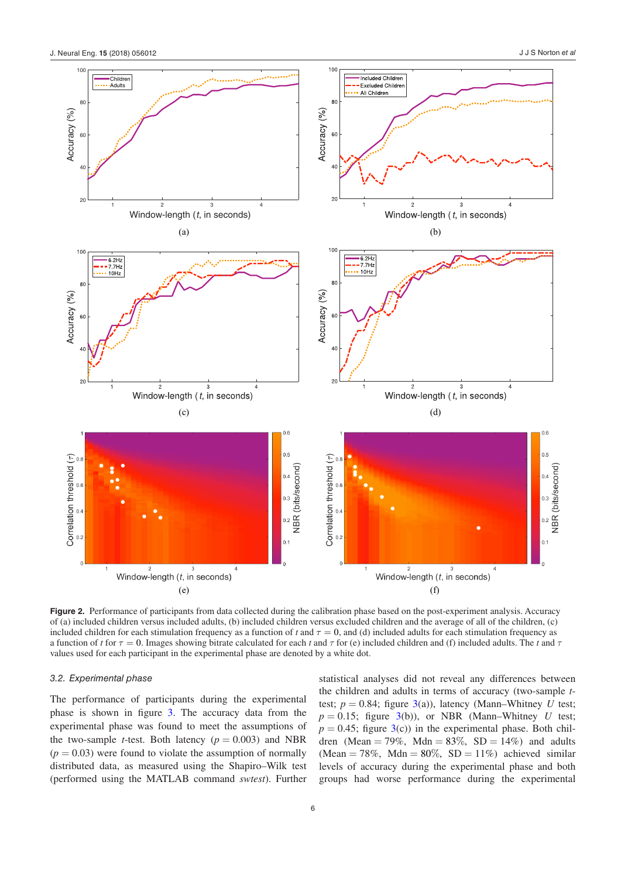<span id="page-6-0"></span>

**Figure 2.** Performance of participants from data collected during the calibration phase based on the post-experiment analysis. Accuracy of (a) included children versus included adults, (b) included children versus excluded children and the average of all of the children, (c) included children for each stimulation frequency as a function of  $t$  and  $\tau = 0$ , and (d) included adults for each stimulation frequency as a function of *t* for  $\tau = 0$ . Images showing bitrate calculated for each *t* and  $\tau$  for (e) included children and (f) included adults. The *t* and  $\tau$ values used for each participant in the experimental phase are denoted by a white dot.

#### *3.2. Experimental phase*

The performance of participants during the experimental phase is shown in figure [3.](#page-7-1) The accuracy data from the experimental phase was found to meet the assumptions of the two-sample *t*-test. Both latency  $(p = 0.003)$  and NBR  $(p = 0.03)$  were found to violate the assumption of normally distributed data, as measured using the Shapiro–Wilk test (performed using the MATLAB command *swtest*). Further statistical analyses did not reveal any differences between the children and adults in terms of accuracy (two-sample *t*test;  $p = 0.84$ ; figure [3\(](#page-7-1)a)), latency (Mann–Whitney *U* test;  $p = 0.15$ ; figure [3\(](#page-7-1)b)), or NBR (Mann–Whitney *U* test;  $p = 0.45$ ; figure  $3(c)$  $3(c)$ ) in the experimental phase. Both children (Mean = 79%, Mdn =  $83\%$ , SD = 14%) and adults (Mean = 78%, Mdn =  $80\%$ , SD = 11%) achieved similar levels of accuracy during the experimental phase and both groups had worse performance during the experimental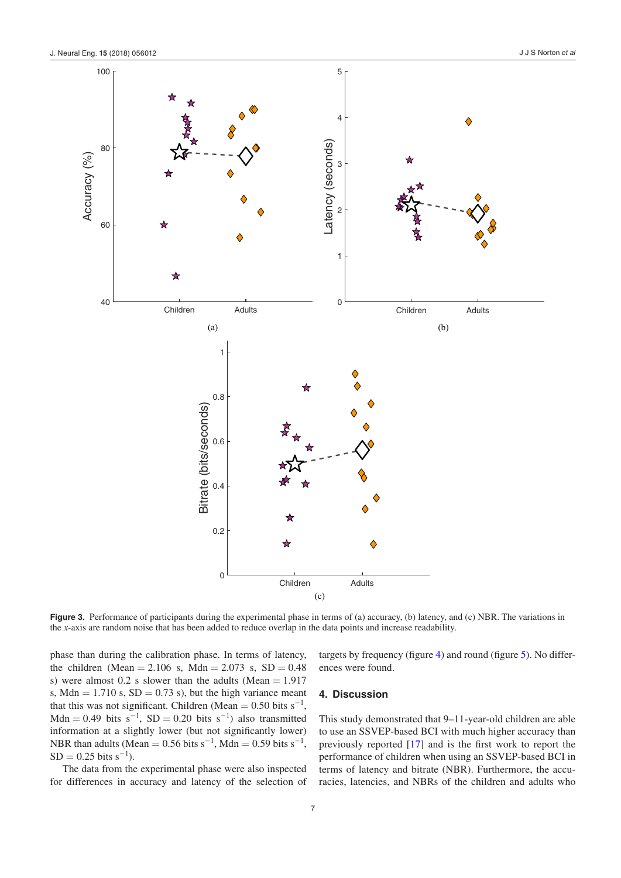<span id="page-7-1"></span>

**Figure 3.** Performance of participants during the experimental phase in terms of (a) accuracy, (b) latency, and (c) NBR. The variations in the *x*-axis are random noise that has been added to reduce overlap in the data points and increase readability.

phase than during the calibration phase. In terms of latency, the children (Mean = 2.106 s, Mdn = 2.073 s, SD = 0.48 s) were almost  $0.2$  s slower than the adults (Mean = 1.917 s, Mdn =  $1.710$  s, SD = 0.73 s), but the high variance meant that this was not significant. Children (Mean =  $0.50$  bits s<sup>-1</sup>, Mdn = 0.49 bits  $s^{-1}$ , SD = 0.20 bits  $s^{-1}$ ) also transmitted information at a slightly lower (but not significantly lower) NBR than adults (Mean = 0.56 bits  $s^{-1}$ , Mdn = 0.59 bits  $s^{-1}$ ,  $SD = 0.25$  bits s<sup>-1</sup>).

The data from the experimental phase were also inspected for differences in accuracy and latency of the selection of targets by frequency (figure [4\)](#page-9-0) and round (figure [5](#page-9-1)). No differences were found.

## <span id="page-7-0"></span>**4. Discussion**

This study demonstrated that 9–11-year-old children are able to use an SSVEP-based BCI with much higher accuracy than previously reported [\[17](#page-12-10)] and is the first work to report the performance of children when using an SSVEP-based BCI in terms of latency and bitrate (NBR). Furthermore, the accuracies, latencies, and NBRs of the children and adults who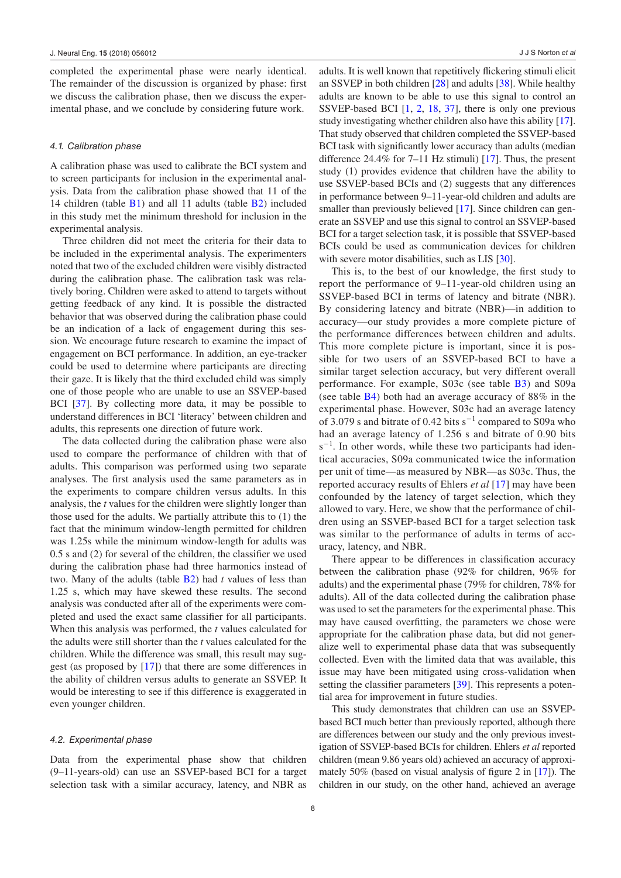completed the experimental phase were nearly identical. The remainder of the discussion is organized by phase: first we discuss the calibration phase, then we discuss the experimental phase, and we conclude by considering future work.

#### <span id="page-8-0"></span>*4.1. Calibration phase*

A calibration phase was used to calibrate the BCI system and to screen participants for inclusion in the experimental analysis. Data from the calibration phase showed that 11 of the 14 children (table [B1\)](#page-11-7) and all 11 adults (table [B2\)](#page-11-8) included in this study met the minimum threshold for inclusion in the experimental analysis.

Three children did not meet the criteria for their data to be included in the experimental analysis. The experimenters noted that two of the excluded children were visibly distracted during the calibration phase. The calibration task was relatively boring. Children were asked to attend to targets without getting feedback of any kind. It is possible the distracted behavior that was observed during the calibration phase could be an indication of a lack of engagement during this session. We encourage future research to examine the impact of engagement on BCI performance. In addition, an eye-tracker could be used to determine where participants are directing their gaze. It is likely that the third excluded child was simply one of those people who are unable to use an SSVEP-based BCI [[37\]](#page-12-30). By collecting more data, it may be possible to understand differences in BCI 'literacy' between children and adults, this represents one direction of future work.

The data collected during the calibration phase were also used to compare the performance of children with that of adults. This comparison was performed using two separate analyses. The first analysis used the same parameters as in the experiments to compare children versus adults. In this analysis, the *t* values for the children were slightly longer than those used for the adults. We partially attribute this to (1) the fact that the minimum window-length permitted for children was 1.25s while the minimum window-length for adults was 0.5 s and (2) for several of the children, the classifier we used during the calibration phase had three harmonics instead of two. Many of the adults (table [B2\)](#page-11-8) had *t* values of less than 1.25 s, which may have skewed these results. The second analysis was conducted after all of the experiments were completed and used the exact same classifier for all participants. When this analysis was performed, the *t* values calculated for the adults were still shorter than the *t* values calculated for the children. While the difference was small, this result may suggest (as proposed by [\[17](#page-12-10)]) that there are some differences in the ability of children versus adults to generate an SSVEP. It would be interesting to see if this difference is exaggerated in even younger children.

#### *4.2. Experimental phase*

Data from the experimental phase show that children (9–11-years-old) can use an SSVEP-based BCI for a target selection task with a similar accuracy, latency, and NBR as adults. It is well known that repetitively flickering stimuli elicit an SSVEP in both children [[28](#page-12-21)] and adults [[38\]](#page-12-31). While healthy adults are known to be able to use this signal to control an SSVEP-based BCI [[1](#page-11-0), [2](#page-11-1), [18](#page-12-11), [37](#page-12-30)], there is only one previous study investigating whether children also have this ability [\[17](#page-12-10)]. That study observed that children completed the SSVEP-based BCI task with significantly lower accuracy than adults (median difference 24.4% for 7–11 Hz stimuli) [\[17](#page-12-10)]. Thus, the present study (1) provides evidence that children have the ability to use SSVEP-based BCIs and (2) suggests that any differences in performance between 9–11-year-old children and adults are smaller than previously believed [\[17](#page-12-10)]. Since children can generate an SSVEP and use this signal to control an SSVEP-based BCI for a target selection task, it is possible that SSVEP-based BCIs could be used as communication devices for children with severe motor disabilities, such as LIS [[30\]](#page-12-23).

This is, to the best of our knowledge, the first study to report the performance of 9–11-year-old children using an SSVEP-based BCI in terms of latency and bitrate (NBR). By considering latency and bitrate (NBR)—in addition to accuracy—our study provides a more complete picture of the performance differences between children and adults. This more complete picture is important, since it is possible for two users of an SSVEP-based BCI to have a similar target selection accuracy, but very different overall performance. For example, S03c (see table [B3](#page-11-9)) and S09a (see table [B4](#page-11-10)) both had an average accuracy of 88% in the experimental phase. However, S03c had an average latency of 3.079 s and bitrate of 0.42 bits s<sup>-1</sup> compared to S09a who had an average latency of 1.256 s and bitrate of 0.90 bits s<sup>-1</sup>. In other words, while these two participants had identical accuracies, S09a communicated twice the information per unit of time—as measured by NBR—as S03c. Thus, the reported accuracy results of Ehlers *et al* [[17](#page-12-10)] may have been confounded by the latency of target selection, which they allowed to vary. Here, we show that the performance of children using an SSVEP-based BCI for a target selection task was similar to the performance of adults in terms of accuracy, latency, and NBR.

There appear to be differences in classification accuracy between the calibration phase (92% for children, 96% for adults) and the experimental phase (79% for children, 78% for adults). All of the data collected during the calibration phase was used to set the parameters for the experimental phase. This may have caused overfitting, the parameters we chose were appropriate for the calibration phase data, but did not generalize well to experimental phase data that was subsequently collected. Even with the limited data that was available, this issue may have been mitigated using cross-validation when setting the classifier parameters [[39\]](#page-12-32). This represents a potential area for improvement in future studies.

This study demonstrates that children can use an SSVEPbased BCI much better than previously reported, although there are differences between our study and the only previous investigation of SSVEP-based BCIs for children. Ehlers *et al* reported children (mean 9.86 years old) achieved an accuracy of approximately 50% (based on visual analysis of figure 2 in [\[17](#page-12-10)]). The children in our study, on the other hand, achieved an average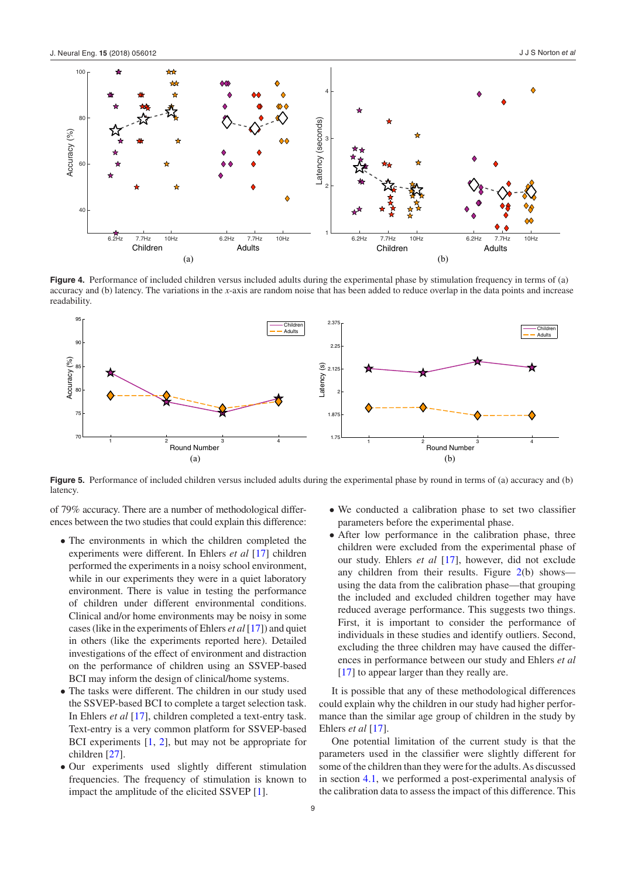<span id="page-9-0"></span>

**Figure 4.** Performance of included children versus included adults during the experimental phase by stimulation frequency in terms of (a) accuracy and (b) latency. The variations in the *x*-axis are random noise that has been added to reduce overlap in the data points and increase readability.

<span id="page-9-1"></span>

**Figure 5.** Performance of included children versus included adults during the experimental phase by round in terms of (a) accuracy and (b) latency.

of 79% accuracy. There are a number of methodological differences between the two studies that could explain this difference:

- The environments in which the children completed the experiments were different. In Ehlers *et al* [\[17\]](#page-12-10) children performed the experiments in a noisy school environment, while in our experiments they were in a quiet laboratory environment. There is value in testing the performance of children under different environmental conditions. Clinical and/or home environments may be noisy in some cases (like in the experiments of Ehlers *et al* [\[17\]](#page-12-10)) and quiet in others (like the experiments reported here). Detailed investigations of the effect of environment and distraction on the performance of children using an SSVEP-based BCI may inform the design of clinical/home systems.
- The tasks were different. The children in our study used the SSVEP-based BCI to complete a target selection task. In Ehlers *et al* [[17\]](#page-12-10), children completed a text-entry task. Text-entry is a very common platform for SSVEP-based BCI experiments [[1,](#page-11-0) [2\]](#page-11-1), but may not be appropriate for children [[27\]](#page-12-20).
- Our experiments used slightly different stimulation frequencies. The frequency of stimulation is known to impact the amplitude of the elicited SSVEP [\[1](#page-11-0)].
- We conducted a calibration phase to set two classifier parameters before the experimental phase.
- After low performance in the calibration phase, three children were excluded from the experimental phase of our study. Ehlers *et al* [\[17](#page-12-10)], however, did not exclude any children from their results. Figure [2](#page-6-0)(b) shows using the data from the calibration phase—that grouping the included and excluded children together may have reduced average performance. This suggests two things. First, it is important to consider the performance of individuals in these studies and identify outliers. Second, excluding the three children may have caused the differences in performance between our study and Ehlers *et al* [\[17](#page-12-10)] to appear larger than they really are.

It is possible that any of these methodological differences could explain why the children in our study had higher performance than the similar age group of children in the study by Ehlers *et al* [\[17](#page-12-10)].

One potential limitation of the current study is that the parameters used in the classifier were slightly different for some of the children than they were for the adults. As discussed in section [4.1,](#page-8-0) we performed a post-experimental analysis of the calibration data to assess the impact of this difference. This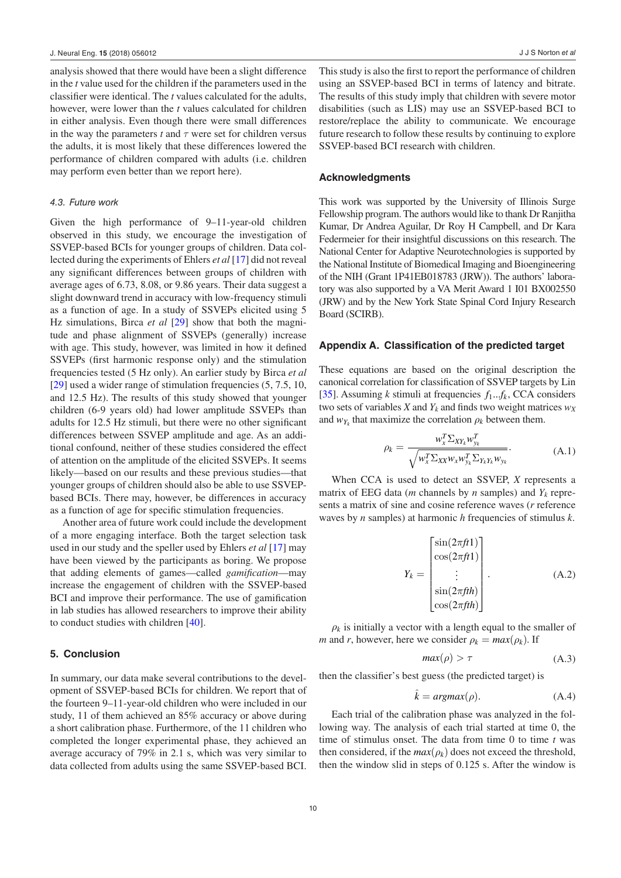analysis showed that there would have been a slight difference in the *t* value used for the children if the parameters used in the classifier were identical. The *t* values calculated for the adults, however, were lower than the *t* values calculated for children in either analysis. Even though there were small differences in the way the parameters  $t$  and  $\tau$  were set for children versus the adults, it is most likely that these differences lowered the performance of children compared with adults (i.e. children may perform even better than we report here).

#### *4.3. Future work*

Given the high performance of 9–11-year-old children observed in this study, we encourage the investigation of SSVEP-based BCIs for younger groups of children. Data collected during the experiments of Ehlers *et al* [[17\]](#page-12-10) did not reveal any significant differences between groups of children with average ages of 6.73, 8.08, or 9.86 years. Their data suggest a slight downward trend in accuracy with low-frequency stimuli as a function of age. In a study of SSVEPs elicited using 5 Hz simulations, Birca *et al* [\[29](#page-12-22)] show that both the magnitude and phase alignment of SSVEPs (generally) increase with age. This study, however, was limited in how it defined SSVEPs (first harmonic response only) and the stimulation frequencies tested (5 Hz only). An earlier study by Birca *et al* [\[29](#page-12-22)] used a wider range of stimulation frequencies  $(5, 7.5, 10, 1)$ and 12.5 Hz). The results of this study showed that younger children (6-9 years old) had lower amplitude SSVEPs than adults for 12.5 Hz stimuli, but there were no other significant differences between SSVEP amplitude and age. As an additional confound, neither of these studies considered the effect of attention on the amplitude of the elicited SSVEPs. It seems likely—based on our results and these previous studies—that younger groups of children should also be able to use SSVEPbased BCIs. There may, however, be differences in accuracy as a function of age for specific stimulation frequencies.

Another area of future work could include the development of a more engaging interface. Both the target selection task used in our study and the speller used by Ehlers *et al* [\[17](#page-12-10)] may have been viewed by the participants as boring. We propose that adding elements of games—called *gamification*—may increase the engagement of children with the SSVEP-based BCI and improve their performance. The use of gamification in lab studies has allowed researchers to improve their ability to conduct studies with children [[40\]](#page-12-33).

#### **5. Conclusion**

In summary, our data make several contributions to the development of SSVEP-based BCIs for children. We report that of the fourteen 9–11-year-old children who were included in our study, 11 of them achieved an 85% accuracy or above during a short calibration phase. Furthermore, of the 11 children who completed the longer experimental phase, they achieved an average accuracy of 79% in 2.1 s, which was very similar to data collected from adults using the same SSVEP-based BCI.

This study is also the first to report the performance of children using an SSVEP-based BCI in terms of latency and bitrate. The results of this study imply that children with severe motor disabilities (such as LIS) may use an SSVEP-based BCI to restore/replace the ability to communicate. We encourage future research to follow these results by continuing to explore SSVEP-based BCI research with children.

#### **Acknowledgments**

This work was supported by the University of Illinois Surge Fellowship program. The authors would like to thank Dr Ranjitha Kumar, Dr Andrea Aguilar, Dr Roy H Campbell, and Dr Kara Federmeier for their insightful discussions on this research. The National Center for Adaptive Neurotechnologies is supported by the National Institute of Biomedical Imaging and Bioengineering of the NIH (Grant 1P41EB018783 (JRW)). The authors' laboratory was also supported by a VA Merit Award 1 I01 BX002550 (JRW) and by the New York State Spinal Cord Injury Research Board (SCIRB).

#### <span id="page-10-0"></span>**Appendix A. Classification of the predicted target**

These equations are based on the original description the canonical correlation for classification of SSVEP targets by Lin [\[35](#page-12-28)]. Assuming *k* stimuli at frequencies  $f_1...f_k$ , CCA considers two sets of variables *X* and  $Y_k$  and finds two weight matrices  $w_X$ and  $w_{Y_k}$  that maximize the correlation  $\rho_k$  between them.

$$
\rho_k = \frac{w_x^T \Sigma_{XY_k} w_{y_k}^T}{\sqrt{w_x^T \Sigma_{XX} w_{x} w_{y_k}^T \Sigma_{Y_k Y_k} w_{y_k}}}.
$$
\n(A.1)

When CCA is used to detect an SSVEP, *X* represents a matrix of EEG data (*m* channels by *n* samples) and  $Y_k$  represents a matrix of sine and cosine reference waves (*r* reference waves by *n* samples) at harmonic *h* frequencies of stimulus *k*.

$$
Y_k = \begin{bmatrix} \sin(2\pi ft1) \\ \cos(2\pi ft1) \\ \vdots \\ \sin(2\pi fth) \\ \cos(2\pi fth) \end{bmatrix} .
$$
 (A.2)

 $\rho_k$  is initially a vector with a length equal to the smaller of *m* and *r*, however, here we consider  $\rho_k = max(\rho_k)$ . If

$$
max(\rho) > \tau \tag{A.3}
$$

then the classifier's best guess (the predicted target) is

$$
\hat{k} = argmax(\rho). \tag{A.4}
$$

Each trial of the calibration phase was analyzed in the following way. The analysis of each trial started at time 0, the time of stimulus onset. The data from time 0 to time *t* was then considered, if the  $max(\rho_k)$  does not exceed the threshold, then the window slid in steps of 0.125 s. After the window is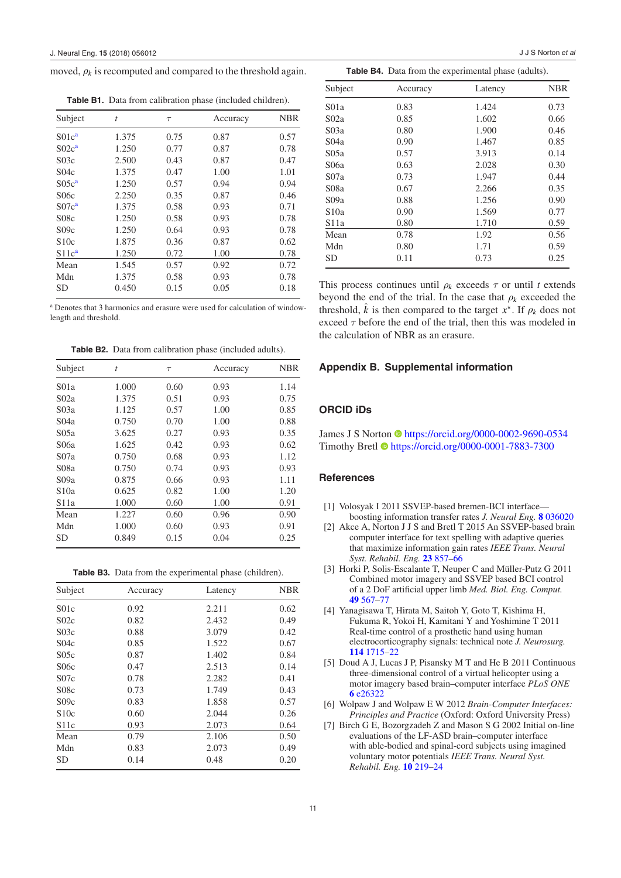moved,  $\rho_k$  is recomputed and compared to the threshold again.

<span id="page-11-7"></span>**Table B1.** Data from calibration phase (included children).

| Subject           | $\bar{t}$ | $\tau$ | Accuracy | <b>NBR</b> |
|-------------------|-----------|--------|----------|------------|
| S01c <sup>a</sup> | 1.375     | 0.75   | 0.87     | 0.57       |
| S02c <sup>a</sup> | 1.250     | 0.77   | 0.87     | 0.78       |
| S03c              | 2.500     | 0.43   | 0.87     | 0.47       |
| S <sub>04c</sub>  | 1.375     | 0.47   | 1.00     | 1.01       |
| S05c <sup>a</sup> | 1.250     | 0.57   | 0.94     | 0.94       |
| S06c              | 2.250     | 0.35   | 0.87     | 0.46       |
| S07c <sup>a</sup> | 1.375     | 0.58   | 0.93     | 0.71       |
| S08c              | 1.250     | 0.58   | 0.93     | 0.78       |
| S09c              | 1.250     | 0.64   | 0.93     | 0.78       |
| \$10c             | 1.875     | 0.36   | 0.87     | 0.62       |
| S11c <sup>a</sup> | 1.250     | 0.72   | 1.00     | 0.78       |
| Mean              | 1.545     | 0.57   | 0.92     | 0.72       |
| Mdn               | 1.375     | 0.58   | 0.93     | 0.78       |
| SD                | 0.450     | 0.15   | 0.05     | 0.18       |

<span id="page-11-11"></span><sup>a</sup> Denotes that 3 harmonics and erasure were used for calculation of windowlength and threshold.

<span id="page-11-8"></span>**Table B2.** Data from calibration phase (included adults).

| Subject          | $\bar{t}$ | $\tau$ | Accuracy | <b>NBR</b> |
|------------------|-----------|--------|----------|------------|
| S <sub>01a</sub> | 1.000     | 0.60   | 0.93     | 1.14       |
| S <sub>02a</sub> | 1.375     | 0.51   | 0.93     | 0.75       |
| S03a             | 1.125     | 0.57   | 1.00     | 0.85       |
| S <sub>04a</sub> | 0.750     | 0.70   | 1.00     | 0.88       |
| S05a             | 3.625     | 0.27   | 0.93     | 0.35       |
| S06a             | 1.625     | 0.42   | 0.93     | 0.62       |
| S07a             | 0.750     | 0.68   | 0.93     | 1.12       |
| S08a             | 0.750     | 0.74   | 0.93     | 0.93       |
| S09a             | 0.875     | 0.66   | 0.93     | 1.11       |
| S10a             | 0.625     | 0.82   | 1.00     | 1.20       |
| S11a             | 1.000     | 0.60   | 1.00     | 0.91       |
| Mean             | 1.227     | 0.60   | 0.96     | 0.90       |
| Mdn              | 1.000     | 0.60   | 0.93     | 0.91       |
| <b>SD</b>        | 0.849     | 0.15   | 0.04     | 0.25       |

<span id="page-11-9"></span>**Table B3.** Data from the experimental phase (children).

| Subject           | Accuracy | Latency | <b>NBR</b> |
|-------------------|----------|---------|------------|
| S <sub>01c</sub>  | 0.92     | 2.211   | 0.62       |
| S02c              | 0.82     | 2.432   | 0.49       |
| S03c              | 0.88     | 3.079   | 0.42       |
| S04c              | 0.85     | 1.522   | 0.67       |
| S05c              | 0.87     | 1.402   | 0.84       |
| S06c              | 0.47     | 2.513   | 0.14       |
| S07c              | 0.78     | 2.282   | 0.41       |
| S08c              | 0.73     | 1.749   | 0.43       |
| S09c              | 0.83     | 1.858   | 0.57       |
| S10c              | 0.60     | 2.044   | 0.26       |
| S <sub>11</sub> c | 0.93     | 2.073   | 0.64       |
| Mean              | 0.79     | 2.106   | 0.50       |
| Mdn               | 0.83     | 2.073   | 0.49       |
| <b>SD</b>         | 0.14     | 0.48    | 0.20       |

| <b>Table B4.</b> Data from the experimental phase (adults). |  |
|-------------------------------------------------------------|--|

<span id="page-11-10"></span>J J S Norton *et al*

| Subject          | Accuracy | Latency | <b>NBR</b> |
|------------------|----------|---------|------------|
| S <sub>01a</sub> | 0.83     | 1.424   | 0.73       |
| S <sub>02a</sub> | 0.85     | 1.602   | 0.66       |
| S03a             | 0.80     | 1.900   | 0.46       |
| S <sub>04a</sub> | 0.90     | 1.467   | 0.85       |
| S05a             | 0.57     | 3.913   | 0.14       |
| S06a             | 0.63     | 2.028   | 0.30       |
| S07a             | 0.73     | 1.947   | 0.44       |
| S08a             | 0.67     | 2.266   | 0.35       |
| S09a             | 0.88     | 1.256   | 0.90       |
| S10a             | 0.90     | 1.569   | 0.77       |
| S11a             | 0.80     | 1.710   | 0.59       |
| Mean             | 0.78     | 1.92    | 0.56       |
| Mdn              | 0.80     | 1.71    | 0.59       |
| <b>SD</b>        | 0.11     | 0.73    | 0.25       |

This process continues until  $\rho_k$  exceeds  $\tau$  or until *t* extends beyond the end of the trial. In the case that  $\rho_k$  exceeded the threshold, *k* is then compared to the target  $x^*$ . If  $\rho_k$  does not exceed *τ* before the end of the trial, then this was modeled in the calculation of NBR as an erasure.

#### **Appendix B. Supplemental information**

## **ORCID iDs**

James J S Norton Chttps://orcid.org/0000-0002-9690-0534 Timothy Bretl •<https://orcid.org/0000-0001-7883-7300>

#### **References**

- <span id="page-11-0"></span>[1] Volosyak I 2011 SSVEP-based bremen-BCI interface boosting information transfer rates *J. Neural Eng.* **[8](https://doi.org/10.1088/1741-2560/8/3/036020)** [036020](https://doi.org/10.1088/1741-2560/8/3/036020)
- <span id="page-11-1"></span>[2] Akce A, Norton J J S and Bretl T 2015 An SSVEP-based brain computer interface for text spelling with adaptive queries that maximize information gain rates *IEEE Trans. Neural Syst. Rehabil. Eng.* **[23](https://doi.org/10.1109/TNSRE.2014.2373338)** [857](https://doi.org/10.1109/TNSRE.2014.2373338)–[66](https://doi.org/10.1109/TNSRE.2014.2373338)
- <span id="page-11-2"></span>[3] Horki P, Solis-Escalante T, Neuper C and Müller-Putz G 2011 Combined motor imagery and SSVEP based BCI control of a 2 DoF artificial upper limb *Med. Biol. Eng. Comput.* **[49](https://doi.org/10.1007/s11517-011-0750-2)** [567](https://doi.org/10.1007/s11517-011-0750-2)–[77](https://doi.org/10.1007/s11517-011-0750-2)
- <span id="page-11-3"></span>[4] Yanagisawa T, Hirata M, Saitoh Y, Goto T, Kishima H, Fukuma R, Yokoi H, Kamitani Y and Yoshimine T 2011 Real-time control of a prosthetic hand using human electrocorticography signals: technical note *J. Neurosurg.* **[114](https://doi.org/10.3171/2011.1.JNS101421)** [1715](https://doi.org/10.3171/2011.1.JNS101421)–[22](https://doi.org/10.3171/2011.1.JNS101421)
- <span id="page-11-4"></span>[5] Doud A J, Lucas J P, Pisansky M T and He B 2011 Continuous three-dimensional control of a virtual helicopter using a motor imagery based brain–computer interface *PLoS ONE* **[6](https://doi.org/10.1371/journal.pone.0026322)** [e26322](https://doi.org/10.1371/journal.pone.0026322)
- <span id="page-11-5"></span>[6] Wolpaw J and Wolpaw E W 2012 *Brain-Computer Interfaces: Principles and Practice* (Oxford: Oxford University Press)
- <span id="page-11-6"></span>[7] Birch G E, Bozorgzadeh Z and Mason S G 2002 Initial on-line evaluations of the LF-ASD brain–computer interface with able-bodied and spinal-cord subjects using imagined voluntary motor potentials *IEEE Trans. Neural Syst. Rehabil. Eng.* **[10](https://doi.org/10.1109/TNSRE.2002.806839)** [219](https://doi.org/10.1109/TNSRE.2002.806839)–[24](https://doi.org/10.1109/TNSRE.2002.806839)